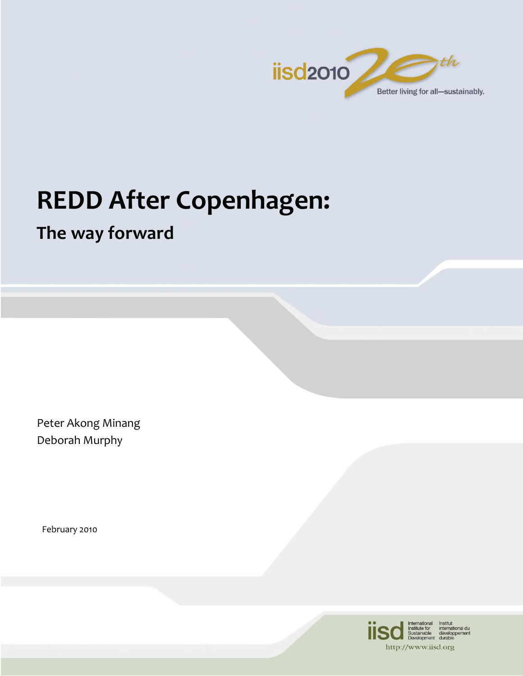

innovation, enabling societies to live sustainably. IISD is registered as a charitable organization in Canada and has 501(c)(3) status in the United States. IISD receives core

# development by advancing policy and policy and policy and policy and policy and policy and policy and policy a REDD After Copenhagen:

**The way forward**

Peter Akong Minang Deborah Murphy

February 2010

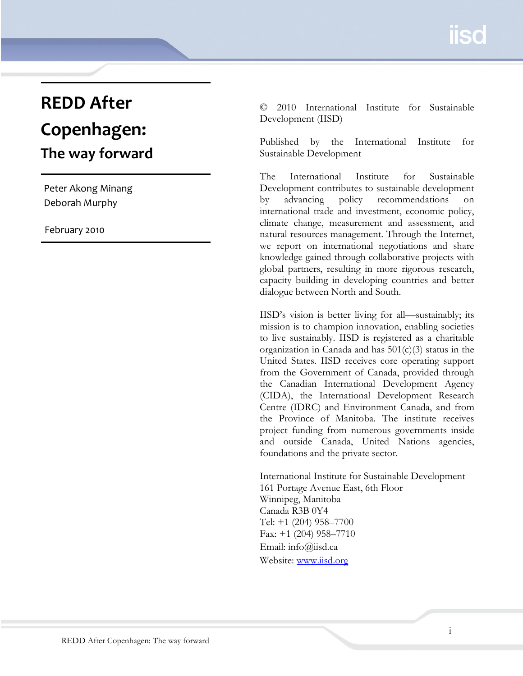# **REDD After Copenhagen: The way forward**

Peter Akong Minang Deborah Murphy

February 2010

© 2010 International Institute for Sustainable Development (IISD)

Published by the International Institute for Sustainable Development

The International Institute for Sustainable Development contributes to sustainable development by advancing policy recommendations on international trade and investment, economic policy, climate change, measurement and assessment, and natural resources management. Through the Internet, we report on international negotiations and share knowledge gained through collaborative projects with global partners, resulting in more rigorous research, capacity building in developing countries and better dialogue between North and South.

IISD's vision is better living for all—sustainably; its mission is to champion innovation, enabling societies to live sustainably. IISD is registered as a charitable organization in Canada and has  $501(c)(3)$  status in the United States. IISD receives core operating support from the Government of Canada, provided through the Canadian International Development Agency (CIDA), the International Development Research Centre (IDRC) and Environment Canada, and from the Province of Manitoba. The institute receives project funding from numerous governments inside and outside Canada, United Nations agencies, foundations and the private sector.

International Institute for Sustainable Development 161 Portage Avenue East, 6th Floor Winnipeg, Manitoba Canada R3B 0Y4 Tel: +1 (204) 958–7700 Fax: +1 (204) 958–7710 Email: info@iisd.ca Website: www.iisd.org

i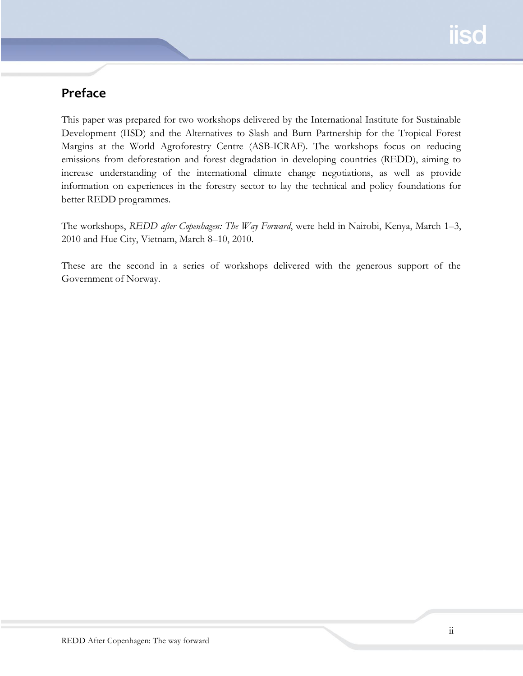# <span id="page-2-0"></span>**Preface**

This paper was prepared for two workshops delivered by the International Institute for Sustainable Development (IISD) and the Alternatives to Slash and Burn Partnership for the Tropical Forest Margins at the World Agroforestry Centre (ASB-ICRAF). The workshops focus on reducing emissions from deforestation and forest degradation in developing countries (REDD), aiming to increase understanding of the international climate change negotiations, as well as provide information on experiences in the forestry sector to lay the technical and policy foundations for better REDD programmes.

The workshops, *REDD after Copenhagen: The Way Forward*, were held in Nairobi, Kenya, March 1–3, 2010 and Hue City, Vietnam, March 8–10, 2010.

These are the second in a series of workshops delivered with the generous support of the Government of Norway.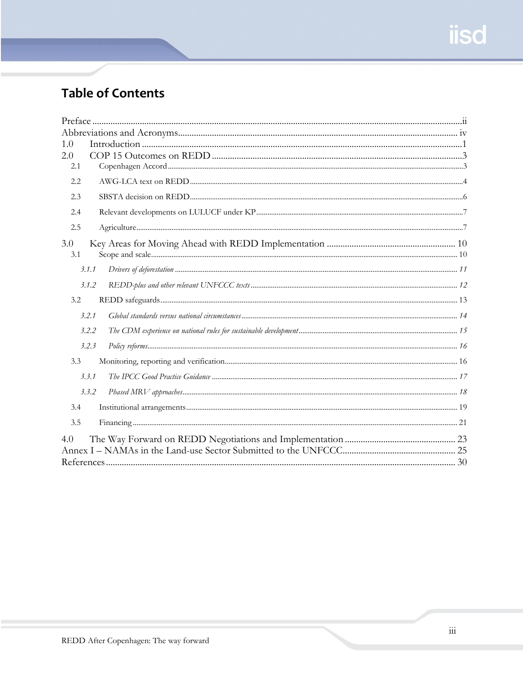# **Table of Contents**

| 1.0                                 |  |  |  |  |
|-------------------------------------|--|--|--|--|
| 2.0                                 |  |  |  |  |
| 2.1                                 |  |  |  |  |
| 2.2                                 |  |  |  |  |
| 2.3                                 |  |  |  |  |
| 2.4                                 |  |  |  |  |
| 2.5                                 |  |  |  |  |
| 3.0                                 |  |  |  |  |
| 3.1                                 |  |  |  |  |
| 3.1.1                               |  |  |  |  |
| 3.1.2                               |  |  |  |  |
| 3.2                                 |  |  |  |  |
| 3.2.1                               |  |  |  |  |
| 3.2.2                               |  |  |  |  |
| ${\it Policy\ reforms}$ 16<br>3.2.3 |  |  |  |  |
| 3.3                                 |  |  |  |  |
| 3.3.1                               |  |  |  |  |
| 3.3.2                               |  |  |  |  |
| 3.4                                 |  |  |  |  |
| 3.5                                 |  |  |  |  |
| 4.0                                 |  |  |  |  |
|                                     |  |  |  |  |
|                                     |  |  |  |  |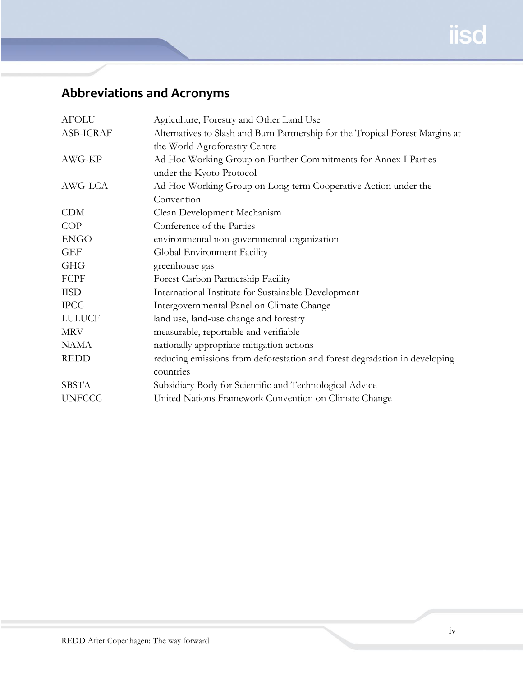# <span id="page-4-0"></span>**Abbreviations and Acronyms**

| <b>AFOLU</b>  | Agriculture, Forestry and Other Land Use                                      |  |  |
|---------------|-------------------------------------------------------------------------------|--|--|
| ASB-ICRAF     | Alternatives to Slash and Burn Partnership for the Tropical Forest Margins at |  |  |
|               | the World Agroforestry Centre                                                 |  |  |
| AWG-KP        | Ad Hoc Working Group on Further Commitments for Annex I Parties               |  |  |
|               | under the Kyoto Protocol                                                      |  |  |
| AWG-LCA       | Ad Hoc Working Group on Long-term Cooperative Action under the                |  |  |
|               | Convention                                                                    |  |  |
| <b>CDM</b>    | Clean Development Mechanism                                                   |  |  |
| COP           | Conference of the Parties                                                     |  |  |
| <b>ENGO</b>   | environmental non-governmental organization                                   |  |  |
| <b>GEF</b>    | Global Environment Facility                                                   |  |  |
| <b>GHG</b>    | greenhouse gas                                                                |  |  |
| FCPF          | Forest Carbon Partnership Facility                                            |  |  |
| <b>IISD</b>   | International Institute for Sustainable Development                           |  |  |
| <b>IPCC</b>   | Intergovernmental Panel on Climate Change                                     |  |  |
| <b>LULUCF</b> | land use, land-use change and forestry                                        |  |  |
| <b>MRV</b>    | measurable, reportable and verifiable                                         |  |  |
| <b>NAMA</b>   | nationally appropriate mitigation actions                                     |  |  |
| <b>REDD</b>   | reducing emissions from deforestation and forest degradation in developing    |  |  |
|               | countries                                                                     |  |  |
| <b>SBSTA</b>  | Subsidiary Body for Scientific and Technological Advice                       |  |  |
| <b>UNFCCC</b> | United Nations Framework Convention on Climate Change                         |  |  |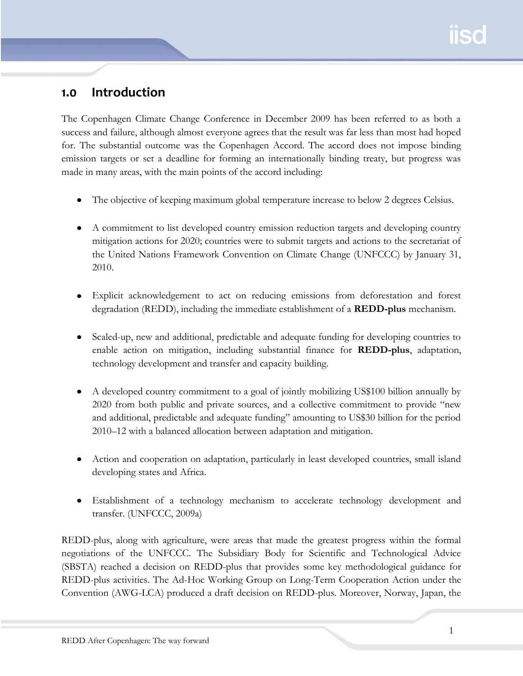# <span id="page-5-0"></span>**1.0 Introduction**

The Copenhagen Climate Change Conference in December 2009 has been referred to as both a success and failure, although almost everyone agrees that the result was far less than most had hoped for. The substantial outcome was the Copenhagen Accord. The accord does not impose binding emission targets or set a deadline for forming an internationally binding treaty, but progress was made in many areas, with the main points of the accord including:

- The objective of keeping maximum global temperature increase to below 2 degrees Celsius.
- A commitment to list developed country emission reduction targets and developing country mitigation actions for 2020; countries were to submit targets and actions to the secretariat of the United Nations Framework Convention on Climate Change (UNFCCC) by January 31, 2010.
- Explicit acknowledgement to act on reducing emissions from deforestation and forest degradation (REDD), including the immediate establishment of a **REDD-plus** mechanism.
- Scaled-up, new and additional, predictable and adequate funding for developing countries to enable action on mitigation, including substantial finance for **REDD-plus**, adaptation, technology development and transfer and capacity building.
- A developed country commitment to a goal of jointly mobilizing US\$100 billion annually by 2020 from both public and private sources, and a collective commitment to provide "new and additional, predictable and adequate funding" amounting to US\$30 billion for the period 2010–12 with a balanced allocation between adaptation and mitigation.
- Action and cooperation on adaptation, particularly in least developed countries, small island developing states and Africa.
- Establishment of a technology mechanism to accelerate technology development and transfer. (UNFCCC, 2009a)

REDD-plus, along with agriculture, were areas that made the greatest progress within the formal negotiations of the UNFCCC. The Subsidiary Body for Scientific and Technological Advice (SBSTA) reached a decision on REDD-plus that provides some key methodological guidance for REDD-plus activities. The Ad-Hoc Working Group on Long-Term Cooperation Action under the Convention (AWG-LCA) produced a draft decision on REDD-plus. Moreover, Norway, Japan, the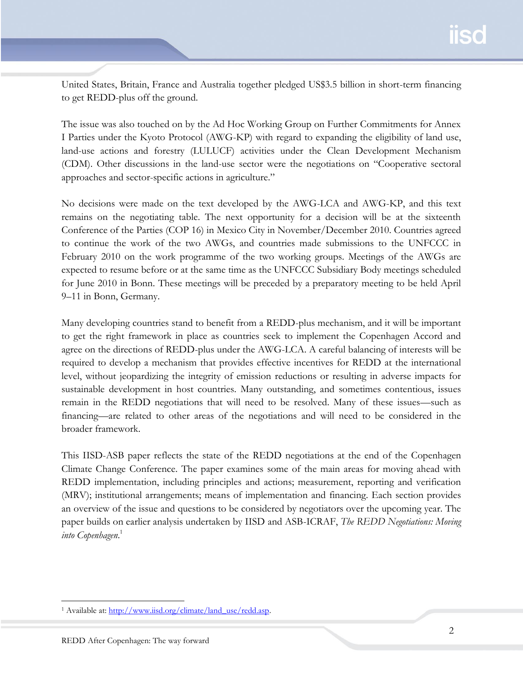United States, Britain, France and Australia together pledged US\$3.5 billion in short-term financing to get REDD-plus off the ground.

The issue was also touched on by the Ad Hoc Working Group on Further Commitments for Annex I Parties under the Kyoto Protocol (AWG-KP) with regard to expanding the eligibility of land use, land-use actions and forestry (LULUCF) activities under the Clean Development Mechanism (CDM). Other discussions in the land-use sector were the negotiations on "Cooperative sectoral approaches and sector-specific actions in agriculture."

No decisions were made on the text developed by the AWG-LCA and AWG-KP, and this text remains on the negotiating table. The next opportunity for a decision will be at the sixteenth Conference of the Parties (COP 16) in Mexico City in November/December 2010. Countries agreed to continue the work of the two AWGs, and countries made submissions to the UNFCCC in February 2010 on the work programme of the two working groups. Meetings of the AWGs are expected to resume before or at the same time as the UNFCCC Subsidiary Body meetings scheduled for June 2010 in Bonn. These meetings will be preceded by a preparatory meeting to be held April 9–11 in Bonn, Germany.

Many developing countries stand to benefit from a REDD-plus mechanism, and it will be important to get the right framework in place as countries seek to implement the Copenhagen Accord and agree on the directions of REDD-plus under the AWG-LCA. A careful balancing of interests will be required to develop a mechanism that provides effective incentives for REDD at the international level, without jeopardizing the integrity of emission reductions or resulting in adverse impacts for sustainable development in host countries. Many outstanding, and sometimes contentious, issues remain in the REDD negotiations that will need to be resolved. Many of these issues—such as financing—are related to other areas of the negotiations and will need to be considered in the broader framework.

This IISD-ASB paper reflects the state of the REDD negotiations at the end of the Copenhagen Climate Change Conference. The paper examines some of the main areas for moving ahead with REDD implementation, including principles and actions; measurement, reporting and verification (MRV); institutional arrangements; means of implementation and financing. Each section provides an overview of the issue and questions to be considered by negotiators over the upcoming year. The paper builds on earlier analysis undertaken by IISD and ASB-ICRAF, *The REDD Negotiations: Moving into Copenhagen*. 1

 $\overline{a}$ 

<sup>&</sup>lt;sup>1</sup> Available at: http://www.iisd.org/climate/land\_use/redd.asp.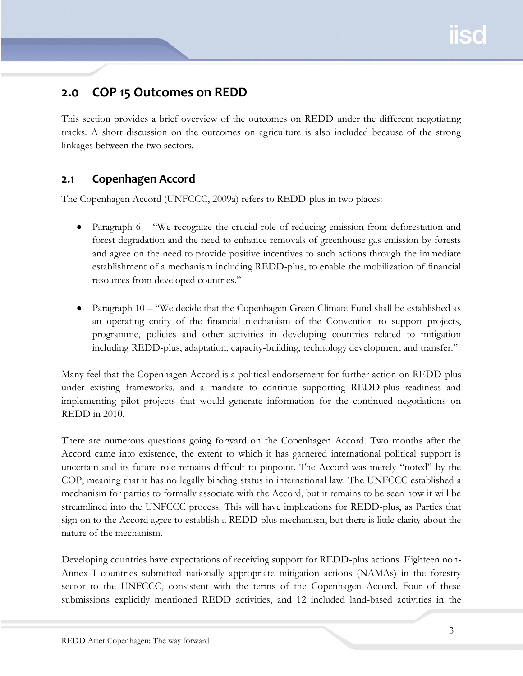# <span id="page-7-0"></span>**2.0 COP 15 Outcomes on REDD**

This section provides a brief overview of the outcomes on REDD under the different negotiating tracks. A short discussion on the outcomes on agriculture is also included because of the strong linkages between the two sectors.

# <span id="page-7-1"></span>**2.1 Copenhagen Accord**

The Copenhagen Accord (UNFCCC, 2009a) refers to REDD-plus in two places:

- Paragraph 6 "We recognize the crucial role of reducing emission from deforestation and forest degradation and the need to enhance removals of greenhouse gas emission by forests and agree on the need to provide positive incentives to such actions through the immediate establishment of a mechanism including REDD-plus, to enable the mobilization of financial resources from developed countries."
- Paragraph 10 "We decide that the Copenhagen Green Climate Fund shall be established as an operating entity of the financial mechanism of the Convention to support projects, programme, policies and other activities in developing countries related to mitigation including REDD-plus, adaptation, capacity-building, technology development and transfer."

Many feel that the Copenhagen Accord is a political endorsement for further action on REDD-plus under existing frameworks, and a mandate to continue supporting REDD-plus readiness and implementing pilot projects that would generate information for the continued negotiations on REDD in 2010.

There are numerous questions going forward on the Copenhagen Accord. Two months after the Accord came into existence, the extent to which it has garnered international political support is uncertain and its future role remains difficult to pinpoint. The Accord was merely "noted" by the COP, meaning that it has no legally binding status in international law. The UNFCCC established a mechanism for parties to formally associate with the Accord, but it remains to be seen how it will be streamlined into the UNFCCC process. This will have implications for REDD-plus, as Parties that sign on to the Accord agree to establish a REDD-plus mechanism, but there is little clarity about the nature of the mechanism.

Developing countries have expectations of receiving support for REDD-plus actions. Eighteen non-Annex I countries submitted nationally appropriate mitigation actions (NAMAs) in the forestry sector to the UNFCCC, consistent with the terms of the Copenhagen Accord. Four of these submissions explicitly mentioned REDD activities, and 12 included land-based activities in the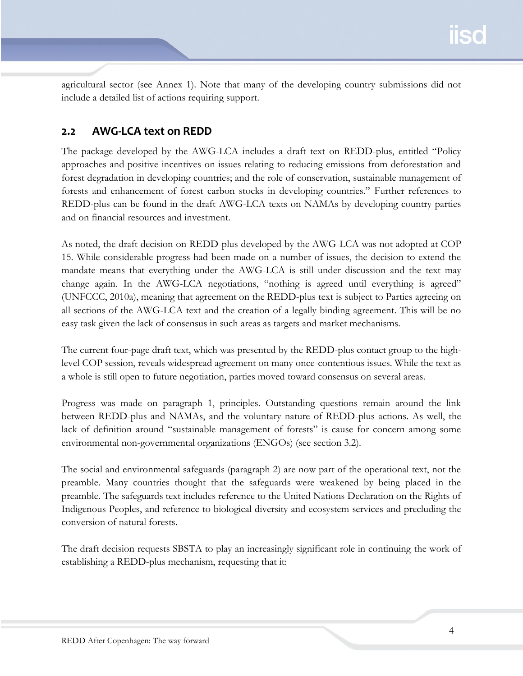agricultural sector (see Annex 1). Note that many of the developing country submissions did not include a detailed list of actions requiring support.

# <span id="page-8-0"></span>**2.2 AWG-LCA text on REDD**

The package developed by the AWG-LCA includes a draft text on REDD-plus, entitled "Policy" approaches and positive incentives on issues relating to reducing emissions from deforestation and forest degradation in developing countries; and the role of conservation, sustainable management of forests and enhancement of forest carbon stocks in developing countries." Further references to REDD-plus can be found in the draft AWG-LCA texts on NAMAs by developing country parties and on financial resources and investment.

As noted, the draft decision on REDD-plus developed by the AWG-LCA was not adopted at COP 15. While considerable progress had been made on a number of issues, the decision to extend the mandate means that everything under the AWG-LCA is still under discussion and the text may change again. In the AWG-LCA negotiations, "nothing is agreed until everything is agreed" (UNFCCC, 2010a), meaning that agreement on the REDD-plus text is subject to Parties agreeing on all sections of the AWG-LCA text and the creation of a legally binding agreement. This will be no easy task given the lack of consensus in such areas as targets and market mechanisms.

The current four-page draft text, which was presented by the REDD-plus contact group to the highlevel COP session, reveals widespread agreement on many once-contentious issues. While the text as a whole is still open to future negotiation, parties moved toward consensus on several areas.

Progress was made on paragraph 1, principles. Outstanding questions remain around the link between REDD-plus and NAMAs, and the voluntary nature of REDD-plus actions. As well, the lack of definition around "sustainable management of forests" is cause for concern among some environmental non-governmental organizations (ENGOs) (see section 3.2).

The social and environmental safeguards (paragraph 2) are now part of the operational text, not the preamble. Many countries thought that the safeguards were weakened by being placed in the preamble. The safeguards text includes reference to the United Nations Declaration on the Rights of Indigenous Peoples, and reference to biological diversity and ecosystem services and precluding the conversion of natural forests.

The draft decision requests SBSTA to play an increasingly significant role in continuing the work of establishing a REDD-plus mechanism, requesting that it: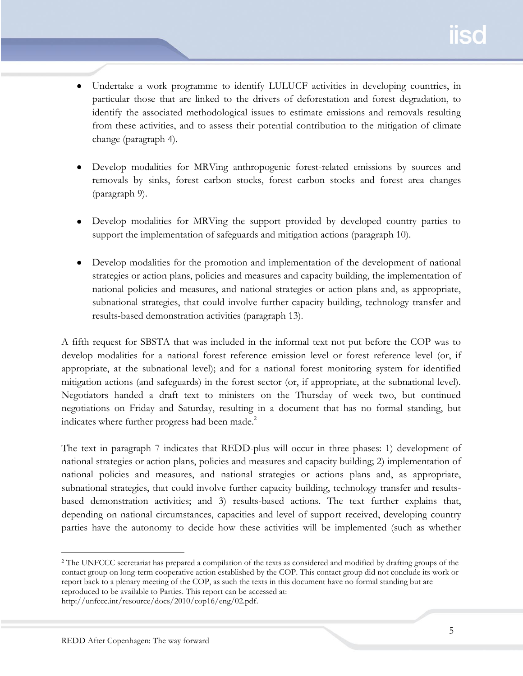- Undertake a work programme to identify LULUCF activities in developing countries, in particular those that are linked to the drivers of deforestation and forest degradation, to identify the associated methodological issues to estimate emissions and removals resulting from these activities, and to assess their potential contribution to the mitigation of climate change (paragraph 4).
- Develop modalities for MRVing anthropogenic forest-related emissions by sources and removals by sinks, forest carbon stocks, forest carbon stocks and forest area changes (paragraph 9).
- Develop modalities for MRVing the support provided by developed country parties to support the implementation of safeguards and mitigation actions (paragraph 10).
- Develop modalities for the promotion and implementation of the development of national strategies or action plans, policies and measures and capacity building, the implementation of national policies and measures, and national strategies or action plans and, as appropriate, subnational strategies, that could involve further capacity building, technology transfer and results-based demonstration activities (paragraph 13).

A fifth request for SBSTA that was included in the informal text not put before the COP was to develop modalities for a national forest reference emission level or forest reference level (or, if appropriate, at the subnational level); and for a national forest monitoring system for identified mitigation actions (and safeguards) in the forest sector (or, if appropriate, at the subnational level). Negotiators handed a draft text to ministers on the Thursday of week two, but continued negotiations on Friday and Saturday, resulting in a document that has no formal standing, but indicates where further progress had been made.<sup>2</sup>

The text in paragraph 7 indicates that REDD-plus will occur in three phases: 1) development of national strategies or action plans, policies and measures and capacity building; 2) implementation of national policies and measures, and national strategies or actions plans and, as appropriate, subnational strategies, that could involve further capacity building, technology transfer and resultsbased demonstration activities; and 3) results-based actions. The text further explains that, depending on national circumstances, capacities and level of support received, developing country parties have the autonomy to decide how these activities will be implemented (such as whether

 $\overline{a}$ 

<sup>2</sup> The UNFCCC secretariat has prepared a compilation of the texts as considered and modified by drafting groups of the contact group on long-term cooperative action established by the COP. This contact group did not conclude its work or report back to a plenary meeting of the COP, as such the texts in this document have no formal standing but are reproduced to be available to Parties. This report can be accessed at: [http://unfccc.int/resource/docs/2010/cop16/eng/02.pdf.](http://unfccc.int/resource/docs/2010/cop16/eng/02.pdf)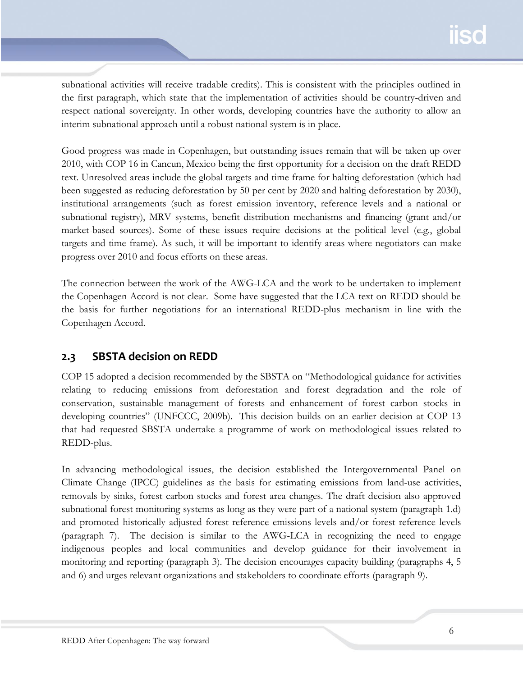subnational activities will receive tradable credits). This is consistent with the principles outlined in the first paragraph, which state that the implementation of activities should be country-driven and respect national sovereignty. In other words, developing countries have the authority to allow an interim subnational approach until a robust national system is in place.

Good progress was made in Copenhagen, but outstanding issues remain that will be taken up over 2010, with COP 16 in Cancun, Mexico being the first opportunity for a decision on the draft REDD text. Unresolved areas include the global targets and time frame for halting deforestation (which had been suggested as reducing deforestation by 50 per cent by 2020 and halting deforestation by 2030), institutional arrangements (such as forest emission inventory, reference levels and a national or subnational registry), MRV systems, benefit distribution mechanisms and financing (grant and/or market-based sources). Some of these issues require decisions at the political level (e.g., global targets and time frame). As such, it will be important to identify areas where negotiators can make progress over 2010 and focus efforts on these areas.

The connection between the work of the AWG-LCA and the work to be undertaken to implement the Copenhagen Accord is not clear. Some have suggested that the LCA text on REDD should be the basis for further negotiations for an international REDD-plus mechanism in line with the Copenhagen Accord.

# <span id="page-10-0"></span>**2.3 SBSTA decision on REDD**

COP 15 adopted a decision recommended by the SBSTA on "Methodological guidance for activities relating to reducing emissions from deforestation and forest degradation and the role of conservation, sustainable management of forests and enhancement of forest carbon stocks in developing countries" (UNFCCC, 2009b). This decision builds on an earlier decision at COP 13 that had requested SBSTA undertake a programme of work on methodological issues related to REDD-plus.

In advancing methodological issues, the decision established the Intergovernmental Panel on Climate Change (IPCC) guidelines as the basis for estimating emissions from land-use activities, removals by sinks, forest carbon stocks and forest area changes. The draft decision also approved subnational forest monitoring systems as long as they were part of a national system (paragraph 1.d) and promoted historically adjusted forest reference emissions levels and/or forest reference levels (paragraph 7). The decision is similar to the AWG-LCA in recognizing the need to engage indigenous peoples and local communities and develop guidance for their involvement in monitoring and reporting (paragraph 3). The decision encourages capacity building (paragraphs 4, 5 and 6) and urges relevant organizations and stakeholders to coordinate efforts (paragraph 9).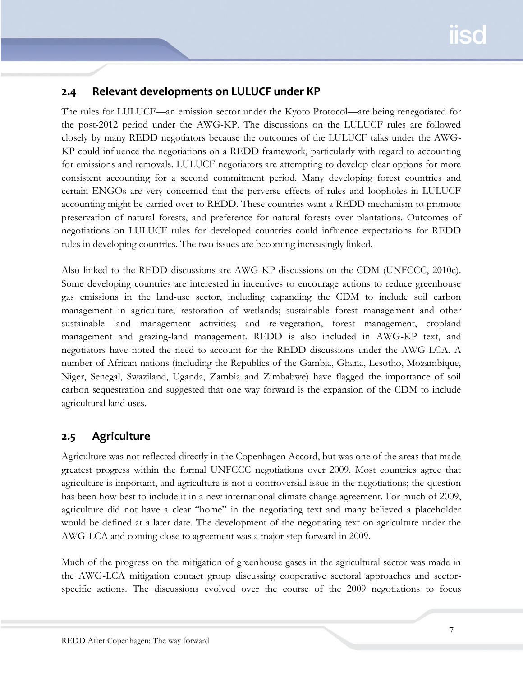# <span id="page-11-0"></span>**2.4 Relevant developments on LULUCF under KP**

The rules for LULUCF—an emission sector under the Kyoto Protocol—are being renegotiated for the post-2012 period under the AWG-KP. The discussions on the LULUCF rules are followed closely by many REDD negotiators because the outcomes of the LULUCF talks under the AWG-KP could influence the negotiations on a REDD framework, particularly with regard to accounting for emissions and removals. LULUCF negotiators are attempting to develop clear options for more consistent accounting for a second commitment period. Many developing forest countries and certain ENGOs are very concerned that the perverse effects of rules and loopholes in LULUCF accounting might be carried over to REDD. These countries want a REDD mechanism to promote preservation of natural forests, and preference for natural forests over plantations. Outcomes of negotiations on LULUCF rules for developed countries could influence expectations for REDD rules in developing countries. The two issues are becoming increasingly linked.

Also linked to the REDD discussions are AWG-KP discussions on the CDM (UNFCCC, 2010c). Some developing countries are interested in incentives to encourage actions to reduce greenhouse gas emissions in the land-use sector, including expanding the CDM to include soil carbon management in agriculture; restoration of wetlands; sustainable forest management and other sustainable land management activities; and re-vegetation, forest management, cropland management and grazing-land management. REDD is also included in AWG-KP text, and negotiators have noted the need to account for the REDD discussions under the AWG-LCA. A number of African nations (including the Republics of the Gambia, Ghana, Lesotho, Mozambique, Niger, Senegal, Swaziland, Uganda, Zambia and Zimbabwe) have flagged the importance of soil carbon sequestration and suggested that one way forward is the expansion of the CDM to include agricultural land uses.

# <span id="page-11-1"></span>**2.5 Agriculture**

Agriculture was not reflected directly in the Copenhagen Accord, but was one of the areas that made greatest progress within the formal UNFCCC negotiations over 2009. Most countries agree that agriculture is important, and agriculture is not a controversial issue in the negotiations; the question has been how best to include it in a new international climate change agreement. For much of 2009, agriculture did not have a clear "home" in the negotiating text and many believed a placeholder would be defined at a later date. The development of the negotiating text on agriculture under the AWG-LCA and coming close to agreement was a major step forward in 2009.

Much of the progress on the mitigation of greenhouse gases in the agricultural sector was made in the AWG-LCA mitigation contact group discussing cooperative sectoral approaches and sectorspecific actions. The discussions evolved over the course of the 2009 negotiations to focus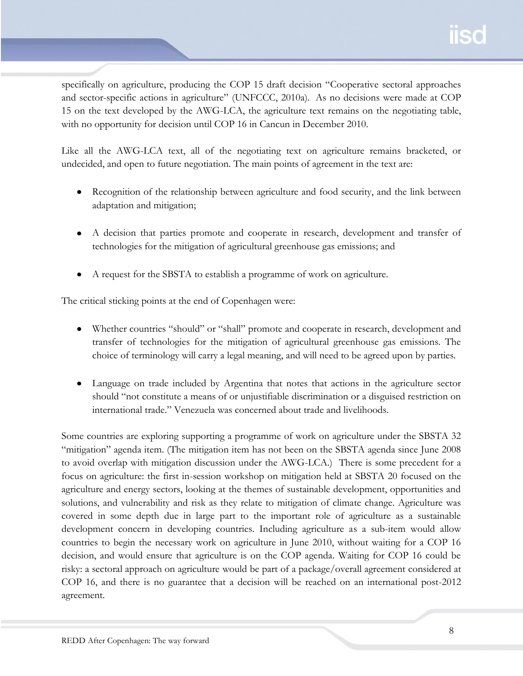specifically on agriculture, producing the COP 15 draft decision "Cooperative sectoral approaches and sector-specific actions in agriculture" (UNFCCC, 2010a). As no decisions were made at COP 15 on the text developed by the AWG-LCA, the agriculture text remains on the negotiating table, with no opportunity for decision until COP 16 in Cancun in December 2010.

Like all the AWG-LCA text, all of the negotiating text on agriculture remains bracketed, or undecided, and open to future negotiation. The main points of agreement in the text are:

- Recognition of the relationship between agriculture and food security, and the link between adaptation and mitigation;
- A decision that parties promote and cooperate in research, development and transfer of technologies for the mitigation of agricultural greenhouse gas emissions; and
- A request for the SBSTA to establish a programme of work on agriculture.

The critical sticking points at the end of Copenhagen were:

- Whether countries "should" or "shall" promote and cooperate in research, development and transfer of technologies for the mitigation of agricultural greenhouse gas emissions. The choice of terminology will carry a legal meaning, and will need to be agreed upon by parties.
- Language on trade included by Argentina that notes that actions in the agriculture sector should "not constitute a means of or unjustifiable discrimination or a disguised restriction on international trade." Venezuela was concerned about trade and livelihoods.

Some countries are exploring supporting a programme of work on agriculture under the SBSTA 32 "mitigation" agenda item. (The mitigation item has not been on the SBSTA agenda since June 2008 to avoid overlap with mitigation discussion under the AWG-LCA.) There is some precedent for a focus on agriculture: the first in-session workshop on mitigation held at SBSTA 20 focused on the agriculture and energy sectors, looking at the themes of sustainable development, opportunities and solutions, and vulnerability and risk as they relate to mitigation of climate change. Agriculture was covered in some depth due in large part to the important role of agriculture as a sustainable development concern in developing countries. Including agriculture as a sub-item would allow countries to begin the necessary work on agriculture in June 2010, without waiting for a COP 16 decision, and would ensure that agriculture is on the COP agenda. Waiting for COP 16 could be risky: a sectoral approach on agriculture would be part of a package/overall agreement considered at COP 16, and there is no guarantee that a decision will be reached on an international post-2012 agreement.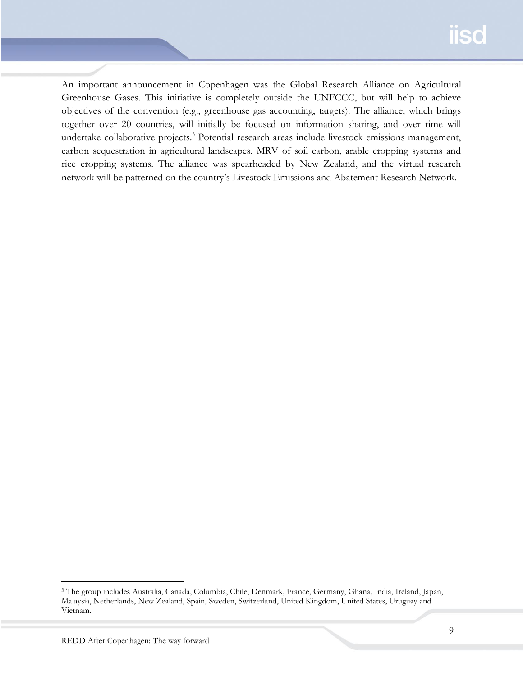An important announcement in Copenhagen was the Global Research Alliance on Agricultural Greenhouse Gases. This initiative is completely outside the UNFCCC, but will help to achieve objectives of the convention (e.g., greenhouse gas accounting, targets). The alliance, which brings together over 20 countries, will initially be focused on information sharing, and over time will undertake collaborative projects.<sup>3</sup> Potential research areas include livestock emissions management, carbon sequestration in agricultural landscapes, MRV of soil carbon, arable cropping systems and rice cropping systems. The alliance was spearheaded by New Zealand, and the virtual research network will be patterned on the country's Livestock Emissions and Abatement Research Network.

 $\overline{a}$ 

<sup>3</sup> The group includes Australia, Canada, Columbia, Chile, Denmark, France, Germany, Ghana, India, Ireland, Japan, Malaysia, Netherlands, New Zealand, Spain, Sweden, Switzerland, United Kingdom, United States, Uruguay and Vietnam.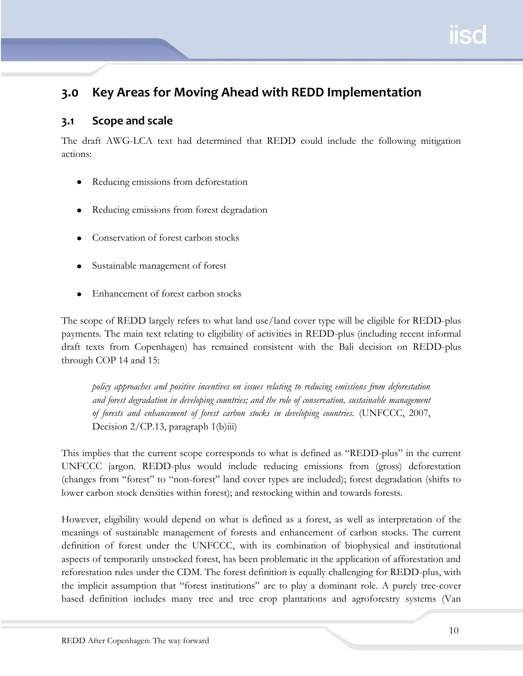# <span id="page-14-0"></span>**3.0 Key Areas for Moving Ahead with REDD Implementation**

# <span id="page-14-1"></span>**3.1 Scope and scale**

The draft AWG-LCA text had determined that REDD could include the following mitigation actions:

- Reducing emissions from deforestation
- Reducing emissions from forest degradation
- Conservation of forest carbon stocks
- Sustainable management of forest
- Enhancement of forest carbon stocks

The scope of REDD largely refers to what land use/land cover type will be eligible for REDD-plus payments. The main text relating to eligibility of activities in REDD-plus (including recent informal draft texts from Copenhagen) has remained consistent with the Bali decision on REDD-plus through COP 14 and 15:

*policy approaches and positive incentives on issues relating to reducing emissions from deforestation and forest degradation in developing countries; and the role of conservation, sustainable management of forests and enhancement of forest carbon stocks in developing countries.* (UNFCCC, 2007, Decision 2/CP.13, paragraph 1(b)iii)

This implies that the current scope corresponds to what is defined as "REDD-plus" in the current UNFCCC jargon. REDD-plus would include reducing emissions from (gross) deforestation (changes from "forest" to "non-forest" land cover types are included); forest degradation (shifts to lower carbon stock densities within forest); and restocking within and towards forests.

However, eligibility would depend on what is defined as a forest, as well as interpretation of the meanings of sustainable management of forests and enhancement of carbon stocks. The current definition of forest under the UNFCCC, with its combination of biophysical and institutional aspects of temporarily unstocked forest, has been problematic in the application of afforestation and reforestation rules under the CDM. The forest definition is equally challenging for REDD-plus, with the implicit assumption that "forest institutions" are to play a dominant role. A purely tree-cover based definition includes many tree and tree crop plantations and agroforestry systems (Van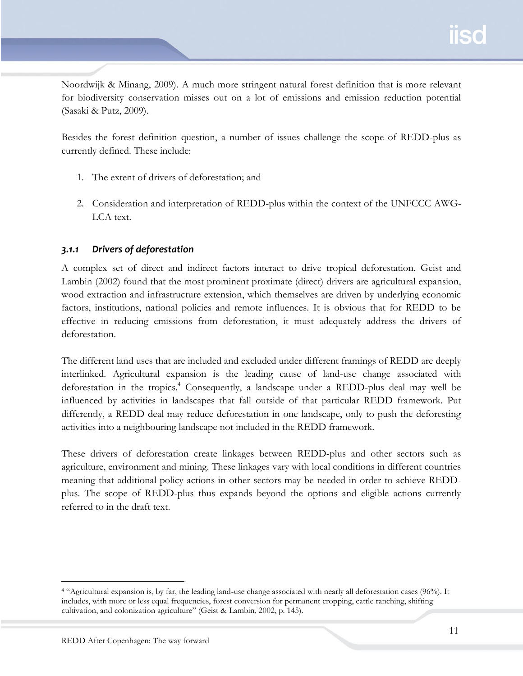Noordwijk & Minang, 2009). A much more stringent natural forest definition that is more relevant for biodiversity conservation misses out on a lot of emissions and emission reduction potential (Sasaki & Putz, 2009).

Besides the forest definition question, a number of issues challenge the scope of REDD-plus as currently defined. These include:

- 1. The extent of drivers of deforestation; and
- 2. Consideration and interpretation of REDD-plus within the context of the UNFCCC AWG-LCA text.

# <span id="page-15-0"></span>*3.1.1 Drivers of deforestation*

A complex set of direct and indirect factors interact to drive tropical deforestation. Geist and Lambin (2002) found that the most prominent proximate (direct) drivers are agricultural expansion, wood extraction and infrastructure extension, which themselves are driven by underlying economic factors, institutions, national policies and remote influences. It is obvious that for REDD to be effective in reducing emissions from deforestation, it must adequately address the drivers of deforestation.

The different land uses that are included and excluded under different framings of REDD are deeply interlinked. Agricultural expansion is the leading cause of land-use change associated with deforestation in the tropics.<sup>4</sup> Consequently, a landscape under a REDD-plus deal may well be influenced by activities in landscapes that fall outside of that particular REDD framework. Put differently, a REDD deal may reduce deforestation in one landscape, only to push the deforesting activities into a neighbouring landscape not included in the REDD framework.

These drivers of deforestation create linkages between REDD-plus and other sectors such as agriculture, environment and mining. These linkages vary with local conditions in different countries meaning that additional policy actions in other sectors may be needed in order to achieve REDDplus. The scope of REDD-plus thus expands beyond the options and eligible actions currently referred to in the draft text.

 $\overline{a}$ 

<sup>&</sup>lt;sup>4</sup> "Agricultural expansion is, by far, the leading land-use change associated with nearly all deforestation cases (96%). It includes, with more or less equal frequencies, forest conversion for permanent cropping, cattle ranching, shifting cultivation, and colonization agriculture" (Geist & Lambin, 2002, p. 145).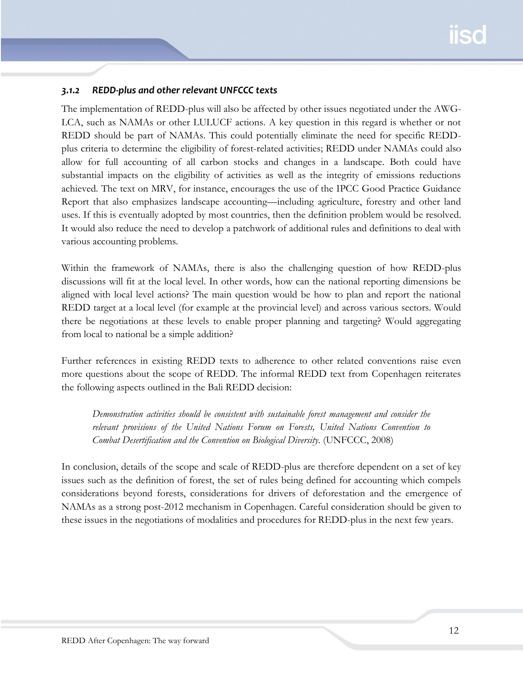#### <span id="page-16-0"></span>*3.1.2 REDD-plus and other relevant UNFCCC texts*

The implementation of REDD-plus will also be affected by other issues negotiated under the AWG-LCA, such as NAMAs or other LULUCF actions. A key question in this regard is whether or not REDD should be part of NAMAs. This could potentially eliminate the need for specific REDDplus criteria to determine the eligibility of forest-related activities; REDD under NAMAs could also allow for full accounting of all carbon stocks and changes in a landscape. Both could have substantial impacts on the eligibility of activities as well as the integrity of emissions reductions achieved. The text on MRV, for instance, encourages the use of the IPCC Good Practice Guidance Report that also emphasizes landscape accounting—including agriculture, forestry and other land uses. If this is eventually adopted by most countries, then the definition problem would be resolved. It would also reduce the need to develop a patchwork of additional rules and definitions to deal with various accounting problems.

Within the framework of NAMAs, there is also the challenging question of how REDD-plus discussions will fit at the local level. In other words, how can the national reporting dimensions be aligned with local level actions? The main question would be how to plan and report the national REDD target at a local level (for example at the provincial level) and across various sectors. Would there be negotiations at these levels to enable proper planning and targeting? Would aggregating from local to national be a simple addition?

Further references in existing REDD texts to adherence to other related conventions raise even more questions about the scope of REDD. The informal REDD text from Copenhagen reiterates the following aspects outlined in the Bali REDD decision:

*Demonstration activities should be consistent with sustainable forest management and consider the relevant provisions of the United Nations Forum on Forests, United Nations Convention to Combat Desertification and the Convention on Biological Diversity.* (UNFCCC, 2008)

In conclusion, details of the scope and scale of REDD-plus are therefore dependent on a set of key issues such as the definition of forest, the set of rules being defined for accounting which compels considerations beyond forests, considerations for drivers of deforestation and the emergence of NAMAs as a strong post-2012 mechanism in Copenhagen. Careful consideration should be given to these issues in the negotiations of modalities and procedures for REDD-plus in the next few years.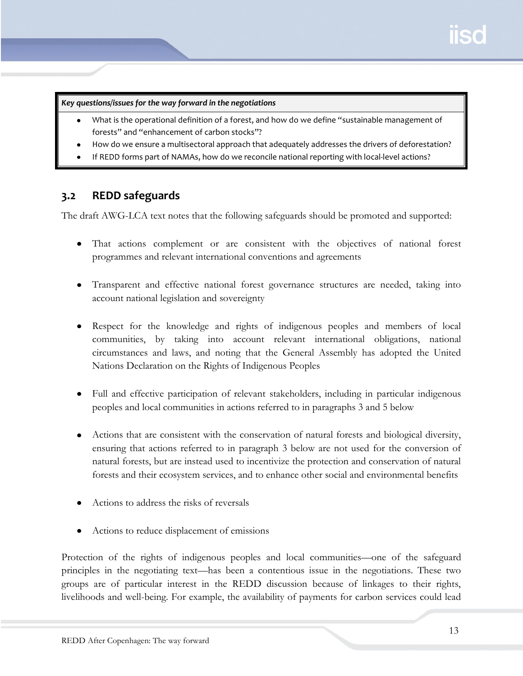*Key questions/issues for the way forward in the negotiations*

- What is the operational definition of a forest, and how do we define "sustainable management of forests" and "enhancement of carbon stocks"?
- How do we ensure a multisectoral approach that adequately addresses the drivers of deforestation?
- If REDD forms part of NAMAs, how do we reconcile national reporting with local-level actions?

# <span id="page-17-0"></span>**3.2 REDD safeguards**

The draft AWG-LCA text notes that the following safeguards should be promoted and supported:

- That actions complement or are consistent with the objectives of national forest programmes and relevant international conventions and agreements
- Transparent and effective national forest governance structures are needed, taking into account national legislation and sovereignty
- Respect for the knowledge and rights of indigenous peoples and members of local communities, by taking into account relevant international obligations, national circumstances and laws, and noting that the General Assembly has adopted the United Nations Declaration on the Rights of Indigenous Peoples
- Full and effective participation of relevant stakeholders, including in particular indigenous peoples and local communities in actions referred to in paragraphs 3 and 5 below
- Actions that are consistent with the conservation of natural forests and biological diversity, ensuring that actions referred to in paragraph 3 below are not used for the conversion of natural forests, but are instead used to incentivize the protection and conservation of natural forests and their ecosystem services, and to enhance other social and environmental benefits
- Actions to address the risks of reversals
- Actions to reduce displacement of emissions

Protection of the rights of indigenous peoples and local communities—one of the safeguard principles in the negotiating text—has been a contentious issue in the negotiations. These two groups are of particular interest in the REDD discussion because of linkages to their rights, livelihoods and well-being. For example, the availability of payments for carbon services could lead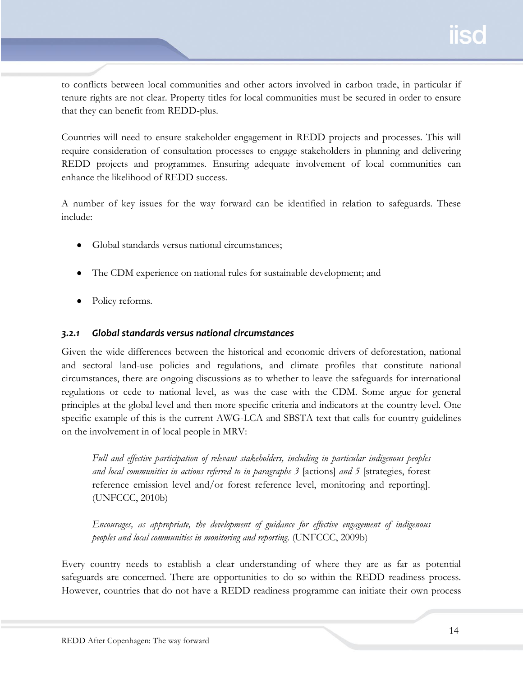to conflicts between local communities and other actors involved in carbon trade, in particular if tenure rights are not clear. Property titles for local communities must be secured in order to ensure that they can benefit from REDD-plus.

Countries will need to ensure stakeholder engagement in REDD projects and processes. This will require consideration of consultation processes to engage stakeholders in planning and delivering REDD projects and programmes. Ensuring adequate involvement of local communities can enhance the likelihood of REDD success.

A number of key issues for the way forward can be identified in relation to safeguards. These include:

- Global standards versus national circumstances;
- The CDM experience on national rules for sustainable development; and
- Policy reforms.

## <span id="page-18-0"></span>*3.2.1 Global standards versus national circumstances*

Given the wide differences between the historical and economic drivers of deforestation, national and sectoral land-use policies and regulations, and climate profiles that constitute national circumstances, there are ongoing discussions as to whether to leave the safeguards for international regulations or cede to national level, as was the case with the CDM. Some argue for general principles at the global level and then more specific criteria and indicators at the country level. One specific example of this is the current AWG-LCA and SBSTA text that calls for country guidelines on the involvement in of local people in MRV:

*Full and effective participation of relevant stakeholders, including in particular indigenous peoples and local communities in actions referred to in paragraphs 3* [actions] *and 5* [strategies, forest reference emission level and/or forest reference level, monitoring and reporting]. (UNFCCC, 2010b)

*Encourages, as appropriate, the development of guidance for effective engagement of indigenous peoples and local communities in monitoring and reporting.* (UNFCCC, 2009b)

Every country needs to establish a clear understanding of where they are as far as potential safeguards are concerned. There are opportunities to do so within the REDD readiness process. However, countries that do not have a REDD readiness programme can initiate their own process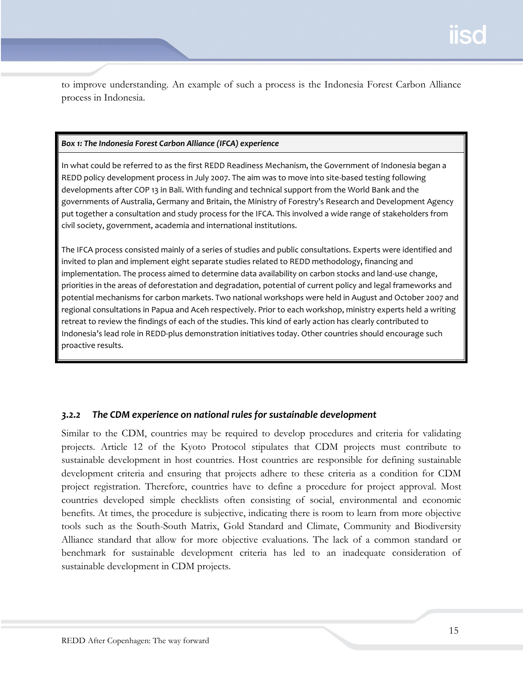to improve understanding. An example of such a process is the Indonesia Forest Carbon Alliance process in Indonesia.

#### *Box 1: The Indonesia Forest Carbon Alliance (IFCA) experience*

In what could be referred to as the first REDD Readiness Mechanism, the Government of Indonesia began a REDD policy development process in July 2007. The aim was to move into site-based testing following developments after COP 13 in Bali. With funding and technical support from the World Bank and the governments of Australia, Germany and Britain, the Ministry of Forestry's Research and Development Agency put together a consultation and study process for the IFCA. This involved a wide range of stakeholders from civil society, government, academia and international institutions.

The IFCA process consisted mainly of a series of studies and public consultations. Experts were identified and invited to plan and implement eight separate studies related to REDD methodology, financing and implementation. The process aimed to determine data availability on carbon stocks and land-use change, priorities in the areas of deforestation and degradation, potential of current policy and legal frameworks and potential mechanisms for carbon markets. Two national workshops were held in August and October 2007 and regional consultations in Papua and Aceh respectively. Prior to each workshop, ministry experts held a writing retreat to review the findings of each of the studies. This kind of early action has clearly contributed to Indonesia's lead role in REDD-plus demonstration initiatives today. Other countries should encourage such proactive results.

## <span id="page-19-0"></span>*3.2.2 The CDM experience on national rules for sustainable development*

Similar to the CDM, countries may be required to develop procedures and criteria for validating projects. Article 12 of the Kyoto Protocol stipulates that CDM projects must contribute to sustainable development in host countries. Host countries are responsible for defining sustainable development criteria and ensuring that projects adhere to these criteria as a condition for CDM project registration. Therefore, countries have to define a procedure for project approval. Most countries developed simple checklists often consisting of social, environmental and economic benefits. At times, the procedure is subjective, indicating there is room to learn from more objective tools such as the South-South Matrix, Gold Standard and Climate, Community and Biodiversity Alliance standard that allow for more objective evaluations. The lack of a common standard or benchmark for sustainable development criteria has led to an inadequate consideration of sustainable development in CDM projects.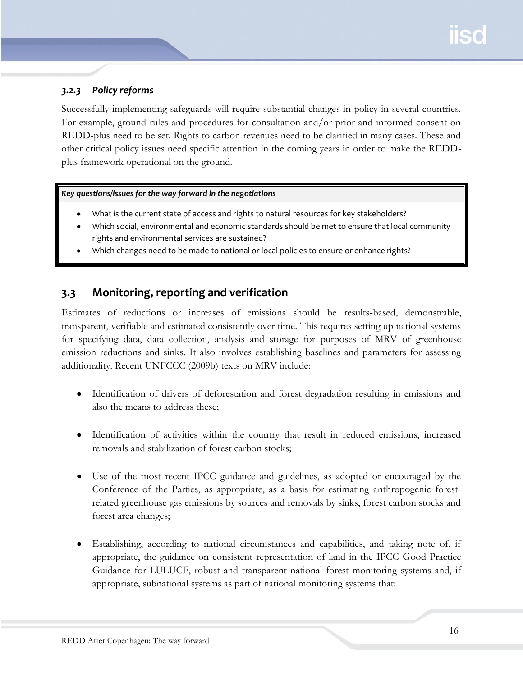## <span id="page-20-0"></span>*3.2.3 Policy reforms*

Successfully implementing safeguards will require substantial changes in policy in several countries. For example, ground rules and procedures for consultation and/or prior and informed consent on REDD-plus need to be set. Rights to carbon revenues need to be clarified in many cases. These and other critical policy issues need specific attention in the coming years in order to make the REDDplus framework operational on the ground.

#### *Key questions/issues for the way forward in the negotiations*

- What is the current state of access and rights to natural resources for key stakeholders?
- Which social, environmental and economic standards should be met to ensure that local community rights and environmental services are sustained?
- Which changes need to be made to national or local policies to ensure or enhance rights?

# <span id="page-20-1"></span>**3.3 Monitoring, reporting and verification**

Estimates of reductions or increases of emissions should be results-based, demonstrable, transparent, verifiable and estimated consistently over time. This requires setting up national systems for specifying data, data collection, analysis and storage for purposes of MRV of greenhouse emission reductions and sinks. It also involves establishing baselines and parameters for assessing additionality. Recent UNFCCC (2009b) texts on MRV include:

- Identification of drivers of deforestation and forest degradation resulting in emissions and also the means to address these;
- Identification of activities within the country that result in reduced emissions, increased removals and stabilization of forest carbon stocks;
- Use of the most recent IPCC guidance and guidelines, as adopted or encouraged by the Conference of the Parties, as appropriate, as a basis for estimating anthropogenic forestrelated greenhouse gas emissions by sources and removals by sinks, forest carbon stocks and forest area changes;
- Establishing, according to national circumstances and capabilities, and taking note of, if appropriate, the guidance on consistent representation of land in the IPCC Good Practice Guidance for LULUCF, robust and transparent national forest monitoring systems and, if appropriate, subnational systems as part of national monitoring systems that: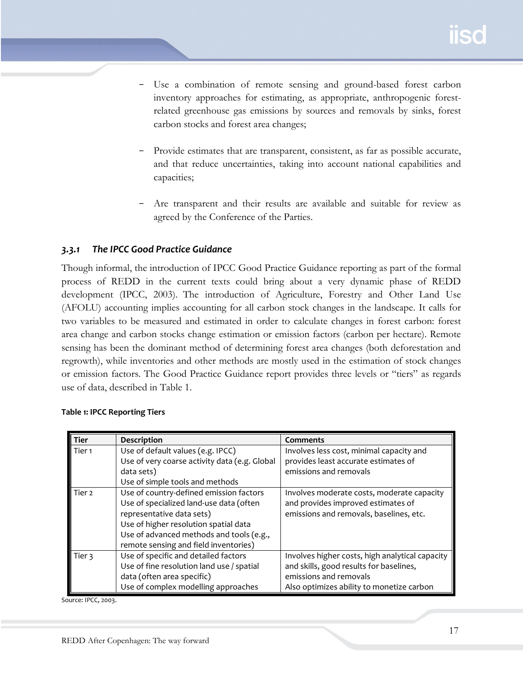- Use a combination of remote sensing and ground-based forest carbon inventory approaches for estimating, as appropriate, anthropogenic forestrelated greenhouse gas emissions by sources and removals by sinks, forest carbon stocks and forest area changes;
- Provide estimates that are transparent, consistent, as far as possible accurate, and that reduce uncertainties, taking into account national capabilities and capacities;
- Are transparent and their results are available and suitable for review as agreed by the Conference of the Parties.

## <span id="page-21-0"></span>*3.3.1 The IPCC Good Practice Guidance*

Though informal, the introduction of IPCC Good Practice Guidance reporting as part of the formal process of REDD in the current texts could bring about a very dynamic phase of REDD development (IPCC, 2003). The introduction of Agriculture, Forestry and Other Land Use (AFOLU) accounting implies accounting for all carbon stock changes in the landscape. It calls for two variables to be measured and estimated in order to calculate changes in forest carbon: forest area change and carbon stocks change estimation or emission factors (carbon per hectare). Remote sensing has been the dominant method of determining forest area changes (both deforestation and regrowth), while inventories and other methods are mostly used in the estimation of stock changes or emission factors. The Good Practice Guidance report provides three levels or "tiers" as regards use of data, described in Table 1.

| <b>Tier</b>       | <b>Description</b>                            | Comments                                        |
|-------------------|-----------------------------------------------|-------------------------------------------------|
| Tier <sub>1</sub> | Use of default values (e.g. IPCC)             | Involves less cost, minimal capacity and        |
|                   | Use of very coarse activity data (e.g. Global | provides least accurate estimates of            |
|                   | data sets)                                    | emissions and removals                          |
|                   | Use of simple tools and methods               |                                                 |
| Tier 2            | Use of country-defined emission factors       | Involves moderate costs, moderate capacity      |
|                   | Use of specialized land-use data (often       | and provides improved estimates of              |
|                   | representative data sets)                     | emissions and removals, baselines, etc.         |
|                   | Use of higher resolution spatial data         |                                                 |
|                   | Use of advanced methods and tools (e.g.,      |                                                 |
|                   | remote sensing and field inventories)         |                                                 |
| Tier 3            | Use of specific and detailed factors          | Involves higher costs, high analytical capacity |
|                   | Use of fine resolution land use / spatial     | and skills, good results for baselines,         |
|                   | data (often area specific)                    | emissions and removals                          |
|                   | Use of complex modelling approaches           | Also optimizes ability to monetize carbon       |

#### **Table 1: IPCC Reporting Tiers**

Source: IPCC, 2003.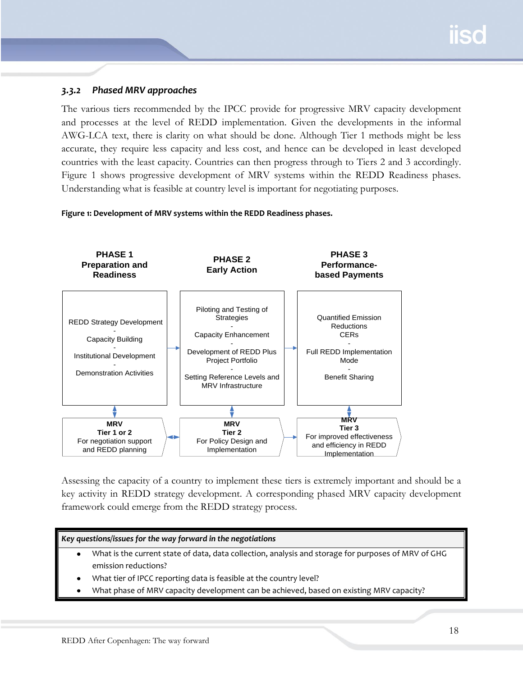#### <span id="page-22-0"></span>*3.3.2 Phased MRV approaches*

The various tiers recommended by the IPCC provide for progressive MRV capacity development and processes at the level of REDD implementation. Given the developments in the informal AWG-LCA text, there is clarity on what should be done. Although Tier 1 methods might be less accurate, they require less capacity and less cost, and hence can be developed in least developed countries with the least capacity. Countries can then progress through to Tiers 2 and 3 accordingly. Figure 1 shows progressive development of MRV systems within the REDD Readiness phases. Understanding what is feasible at country level is important for negotiating purposes.

#### **Figure 1: Development of MRV systems within the REDD Readiness phases.**



Assessing the capacity of a country to implement these tiers is extremely important and should be a key activity in REDD strategy development. A corresponding phased MRV capacity development framework could emerge from the REDD strategy process.

#### *Key questions/issues for the way forward in the negotiations*

- What is the current state of data, data collection, analysis and storage for purposes of MRV of GHG emission reductions?
- What tier of IPCC reporting data is feasible at the country level?
- What phase of MRV capacity development can be achieved, based on existing MRV capacity?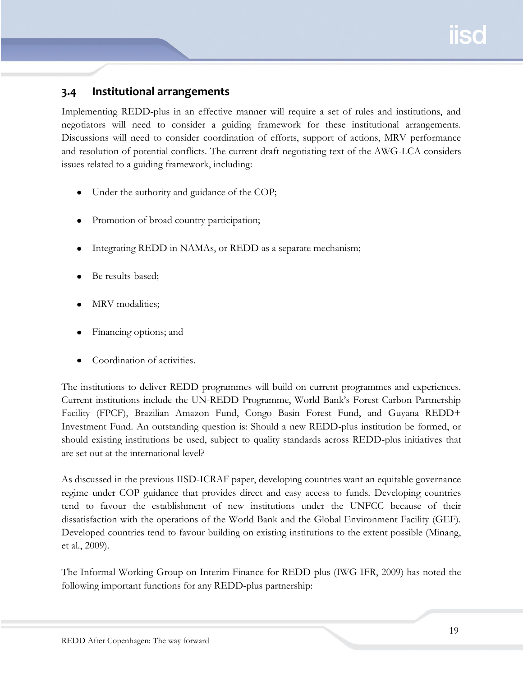# <span id="page-23-0"></span>**3.4 Institutional arrangements**

Implementing REDD-plus in an effective manner will require a set of rules and institutions, and negotiators will need to consider a guiding framework for these institutional arrangements. Discussions will need to consider coordination of efforts, support of actions, MRV performance and resolution of potential conflicts. The current draft negotiating text of the AWG-LCA considers issues related to a guiding framework, including:

- Under the authority and guidance of the COP;
- Promotion of broad country participation;
- Integrating REDD in NAMAs, or REDD as a separate mechanism;
- Be results-based;
- MRV modalities;
- Financing options; and
- Coordination of activities.

The institutions to deliver REDD programmes will build on current programmes and experiences. Current institutions include the UN-REDD Programme, World Bank's Forest Carbon Partnership Facility (FPCF), Brazilian Amazon Fund, Congo Basin Forest Fund, and Guyana REDD+ Investment Fund. An outstanding question is: Should a new REDD-plus institution be formed, or should existing institutions be used, subject to quality standards across REDD-plus initiatives that are set out at the international level?

As discussed in the previous IISD-ICRAF paper, developing countries want an equitable governance regime under COP guidance that provides direct and easy access to funds. Developing countries tend to favour the establishment of new institutions under the UNFCC because of their dissatisfaction with the operations of the World Bank and the Global Environment Facility (GEF). Developed countries tend to favour building on existing institutions to the extent possible (Minang, et al., 2009).

The Informal Working Group on Interim Finance for REDD-plus (IWG-IFR, 2009) has noted the following important functions for any REDD-plus partnership: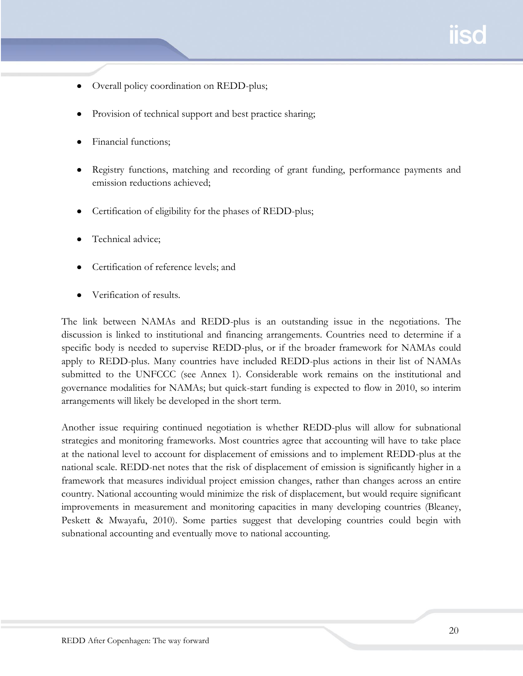- Overall policy coordination on REDD-plus;
- Provision of technical support and best practice sharing;
- Financial functions;
- Registry functions, matching and recording of grant funding, performance payments and emission reductions achieved;
- Certification of eligibility for the phases of REDD-plus;
- Technical advice;
- Certification of reference levels; and
- Verification of results.

The link between NAMAs and REDD-plus is an outstanding issue in the negotiations. The discussion is linked to institutional and financing arrangements. Countries need to determine if a specific body is needed to supervise REDD-plus, or if the broader framework for NAMAs could apply to REDD-plus. Many countries have included REDD-plus actions in their list of NAMAs submitted to the UNFCCC (see Annex 1). Considerable work remains on the institutional and governance modalities for NAMAs; but quick-start funding is expected to flow in 2010, so interim arrangements will likely be developed in the short term.

Another issue requiring continued negotiation is whether REDD-plus will allow for subnational strategies and monitoring frameworks. Most countries agree that accounting will have to take place at the national level to account for displacement of emissions and to implement REDD-plus at the national scale. REDD-net notes that the risk of displacement of emission is significantly higher in a framework that measures individual project emission changes, rather than changes across an entire country. National accounting would minimize the risk of displacement, but would require significant improvements in measurement and monitoring capacities in many developing countries (Bleaney, Peskett & Mwayafu, 2010). Some parties suggest that developing countries could begin with subnational accounting and eventually move to national accounting.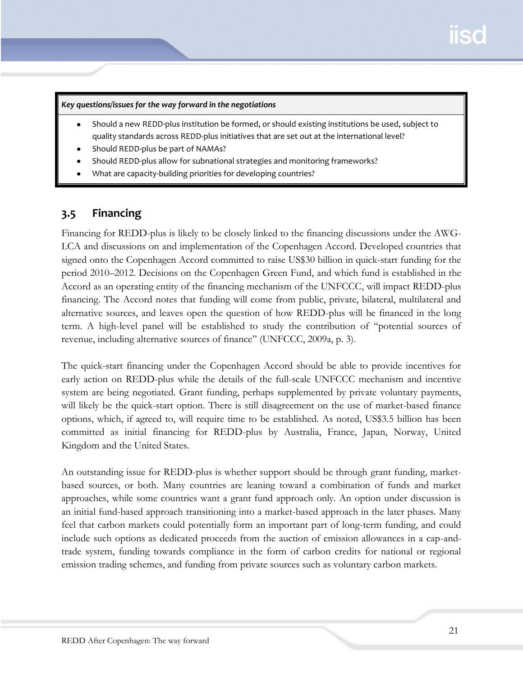*Key questions/issues for the way forward in the negotiations*

- Should a new REDD-plus institution be formed, or should existing institutions be used, subject to quality standards across REDD-plus initiatives that are set out at the international level?
- Should REDD-plus be part of NAMAs?
- Should REDD-plus allow for subnational strategies and monitoring frameworks?
- What are capacity-building priorities for developing countries?

# <span id="page-25-0"></span>**3.5 Financing**

Financing for REDD-plus is likely to be closely linked to the financing discussions under the AWG-LCA and discussions on and implementation of the Copenhagen Accord. Developed countries that signed onto the Copenhagen Accord committed to raise US\$30 billion in quick-start funding for the period 2010–2012. Decisions on the Copenhagen Green Fund, and which fund is established in the Accord as an operating entity of the financing mechanism of the UNFCCC, will impact REDD-plus financing. The Accord notes that funding will come from public, private, bilateral, multilateral and alternative sources, and leaves open the question of how REDD-plus will be financed in the long term. A high-level panel will be established to study the contribution of "potential sources of revenue, including alternative sources of finance" (UNFCCC, 2009a, p. 3).

The quick-start financing under the Copenhagen Accord should be able to provide incentives for early action on REDD-plus while the details of the full-scale UNFCCC mechanism and incentive system are being negotiated. Grant funding, perhaps supplemented by private voluntary payments, will likely be the quick-start option. There is still disagreement on the use of market-based finance options, which, if agreed to, will require time to be established. As noted, US\$3.5 billion has been committed as initial financing for REDD-plus by Australia, France, Japan, Norway, United Kingdom and the United States.

An outstanding issue for REDD-plus is whether support should be through grant funding, marketbased sources, or both. Many countries are leaning toward a combination of funds and market approaches, while some countries want a grant fund approach only. An option under discussion is an initial fund-based approach transitioning into a market-based approach in the later phases. Many feel that carbon markets could potentially form an important part of long-term funding, and could include such options as dedicated proceeds from the auction of emission allowances in a cap-andtrade system, funding towards compliance in the form of carbon credits for national or regional emission trading schemes, and funding from private sources such as voluntary carbon markets.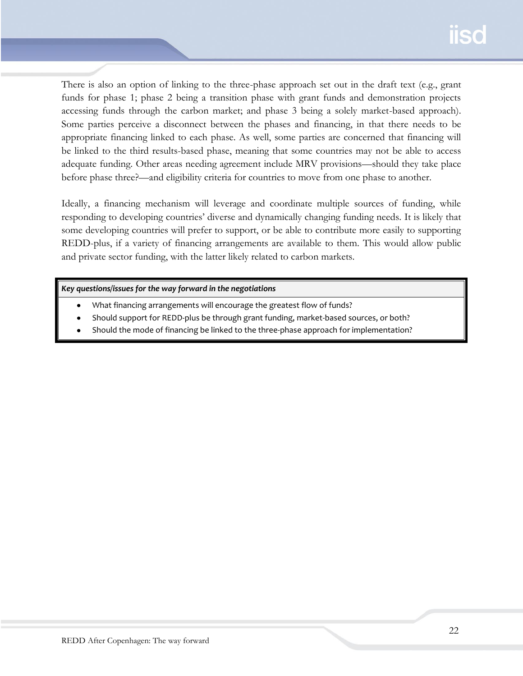There is also an option of linking to the three-phase approach set out in the draft text (e.g., grant funds for phase 1; phase 2 being a transition phase with grant funds and demonstration projects accessing funds through the carbon market; and phase 3 being a solely market-based approach). Some parties perceive a disconnect between the phases and financing, in that there needs to be appropriate financing linked to each phase. As well, some parties are concerned that financing will be linked to the third results-based phase, meaning that some countries may not be able to access adequate funding. Other areas needing agreement include MRV provisions—should they take place before phase three?—and eligibility criteria for countries to move from one phase to another.

Ideally, a financing mechanism will leverage and coordinate multiple sources of funding, while responding to developing countries' diverse and dynamically changing funding needs. It is likely that some developing countries will prefer to support, or be able to contribute more easily to supporting REDD-plus, if a variety of financing arrangements are available to them. This would allow public and private sector funding, with the latter likely related to carbon markets.

*Key questions/issues for the way forward in the negotiations*

- What financing arrangements will encourage the greatest flow of funds?
- Should support for REDD-plus be through grant funding, market-based sources, or both?
- Should the mode of financing be linked to the three-phase approach for implementation?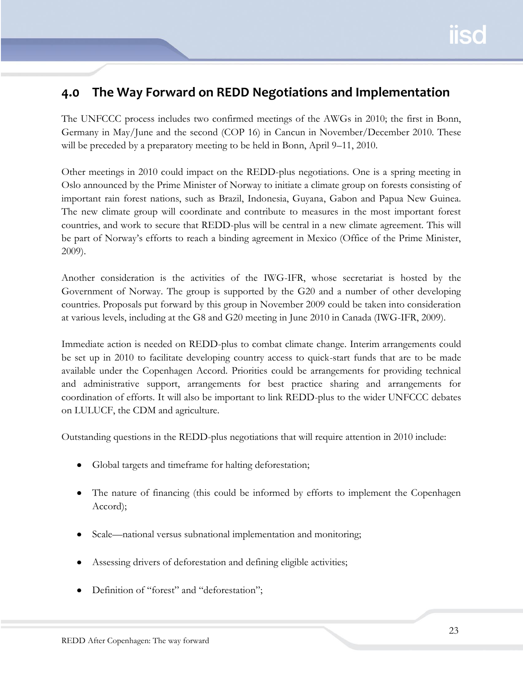# <span id="page-27-0"></span>**4.0 The Way Forward on REDD Negotiations and Implementation**

The UNFCCC process includes two confirmed meetings of the AWGs in 2010; the first in Bonn, Germany in May/June and the second (COP 16) in Cancun in November/December 2010. These will be preceded by a preparatory meeting to be held in Bonn, April 9–11, 2010.

Other meetings in 2010 could impact on the REDD-plus negotiations. One is a spring meeting in Oslo announced by the Prime Minister of Norway to initiate a climate group on forests consisting of important rain forest nations, such as Brazil, Indonesia, Guyana, Gabon and Papua New Guinea. The new climate group will coordinate and contribute to measures in the most important forest countries, and work to secure that REDD-plus will be central in a new climate agreement. This will be part of Norway's efforts to reach a binding agreement in Mexico (Office of the Prime Minister, 2009).

Another consideration is the activities of the IWG-IFR, whose secretariat is hosted by the Government of Norway. The group is supported by the G20 and a number of other developing countries. Proposals put forward by this group in November 2009 could be taken into consideration at various levels, including at the G8 and G20 meeting in June 2010 in Canada (IWG-IFR, 2009).

Immediate action is needed on REDD-plus to combat climate change. Interim arrangements could be set up in 2010 to facilitate developing country access to quick-start funds that are to be made available under the Copenhagen Accord. Priorities could be arrangements for providing technical and administrative support, arrangements for best practice sharing and arrangements for coordination of efforts. It will also be important to link REDD-plus to the wider UNFCCC debates on LULUCF, the CDM and agriculture.

Outstanding questions in the REDD-plus negotiations that will require attention in 2010 include:

- Global targets and timeframe for halting deforestation;
- The nature of financing (this could be informed by efforts to implement the Copenhagen Accord);
- Scale—national versus subnational implementation and monitoring;
- Assessing drivers of deforestation and defining eligible activities;
- Definition of "forest" and "deforestation";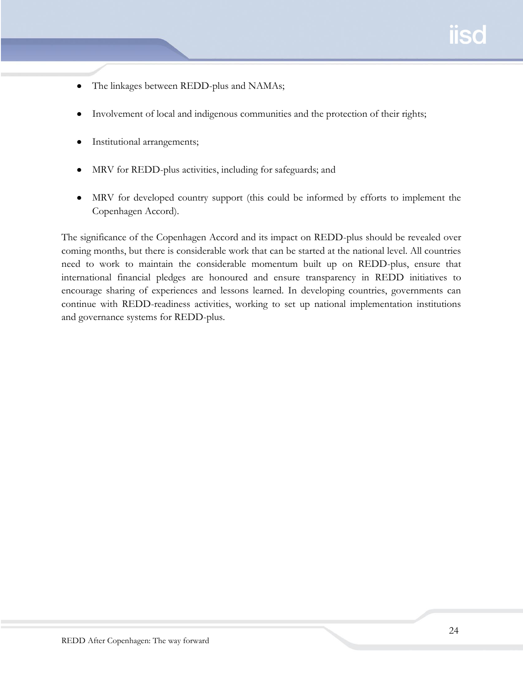- The linkages between REDD-plus and NAMAs;  $\bullet$
- Involvement of local and indigenous communities and the protection of their rights;
- Institutional arrangements;  $\bullet$
- MRV for REDD-plus activities, including for safeguards; and  $\bullet$
- MRV for developed country support (this could be informed by efforts to implement the  $\bullet$ Copenhagen Accord).

The significance of the Copenhagen Accord and its impact on REDD-plus should be revealed over coming months, but there is considerable work that can be started at the national level. All countries need to work to maintain the considerable momentum built up on REDD-plus, ensure that international financial pledges are honoured and ensure transparency in REDD initiatives to encourage sharing of experiences and lessons learned. In developing countries, governments can continue with REDD-readiness activities, working to set up national implementation institutions and governance systems for REDD-plus.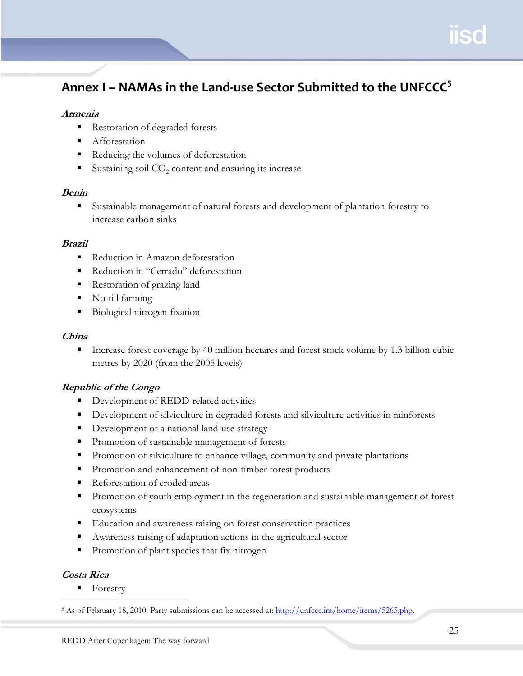# <span id="page-29-0"></span>**Annex I – NAMAs in the Land-use Sector Submitted to the UNFCCC<sup>5</sup>**

#### **Armenia**

- Restoration of degraded forests
- **Afforestation**
- Reducing the volumes of deforestation
- Sustaining soil  $CO<sub>2</sub>$  content and ensuring its increase

#### **Benin**

 Sustainable management of natural forests and development of plantation forestry to increase carbon sinks

#### **Brazil**

- Reduction in Amazon deforestation
- Reduction in "Cerrado" deforestation
- **Restoration of grazing land**
- No-till farming
- Biological nitrogen fixation

#### **China**

Increase forest coverage by 40 million hectares and forest stock volume by 1.3 billion cubic metres by 2020 (from the 2005 levels)

## **Republic of the Congo**

- Development of REDD-related activities
- Development of silviculture in degraded forests and silviculture activities in rainforests
- Development of a national land-use strategy
- **Promotion of sustainable management of forests**
- **Promotion of silviculture to enhance village, community and private plantations**
- **Promotion and enhancement of non-timber forest products**
- Reforestation of eroded areas
- **Promotion of youth employment in the regeneration and sustainable management of forest** ecosystems
- Education and awareness raising on forest conservation practices
- Awareness raising of adaptation actions in the agricultural sector
- **Promotion of plant species that fix nitrogen**

## **Costa Rica**

 $\overline{a}$ 

**Forestry** 

<sup>&</sup>lt;sup>5</sup> As of February 18, 2010. Party submissions can be accessed at: http://unfccc.int/home/items/5265.php.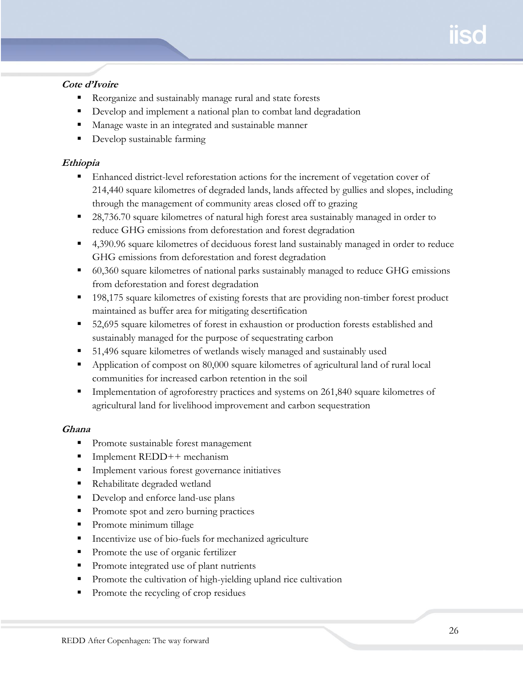# **Cote d'Ivoire**

- Reorganize and sustainably manage rural and state forests
- Develop and implement a national plan to combat land degradation
- Manage waste in an integrated and sustainable manner
- **Develop sustainable farming**

# **Ethiopia**

- **Enhanced district-level reforestation actions for the increment of vegetation cover of** 214,440 square kilometres of degraded lands, lands affected by gullies and slopes, including through the management of community areas closed off to grazing
- <sup>28,736.70</sup> square kilometres of natural high forest area sustainably managed in order to reduce GHG emissions from deforestation and forest degradation
- 4,390.96 square kilometres of deciduous forest land sustainably managed in order to reduce GHG emissions from deforestation and forest degradation
- <sup>6</sup> 60,360 square kilometres of national parks sustainably managed to reduce GHG emissions from deforestation and forest degradation
- <sup>198,175</sup> square kilometres of existing forests that are providing non-timber forest product maintained as buffer area for mitigating desertification
- 52,695 square kilometres of forest in exhaustion or production forests established and sustainably managed for the purpose of sequestrating carbon
- 51,496 square kilometres of wetlands wisely managed and sustainably used
- **•** Application of compost on 80,000 square kilometres of agricultural land of rural local communities for increased carbon retention in the soil
- **Implementation of agroforestry practices and systems on 261,840 square kilometres of** agricultural land for livelihood improvement and carbon sequestration

## **Ghana**

- **Promote sustainable forest management**
- Implement REDD++ mechanism
- **Implement various forest governance initiatives**
- Rehabilitate degraded wetland
- Develop and enforce land-use plans
- **Promote spot and zero burning practices**
- Promote minimum tillage
- Incentivize use of bio-fuels for mechanized agriculture
- Promote the use of organic fertilizer
- Promote integrated use of plant nutrients
- Promote the cultivation of high-yielding upland rice cultivation
- Promote the recycling of crop residues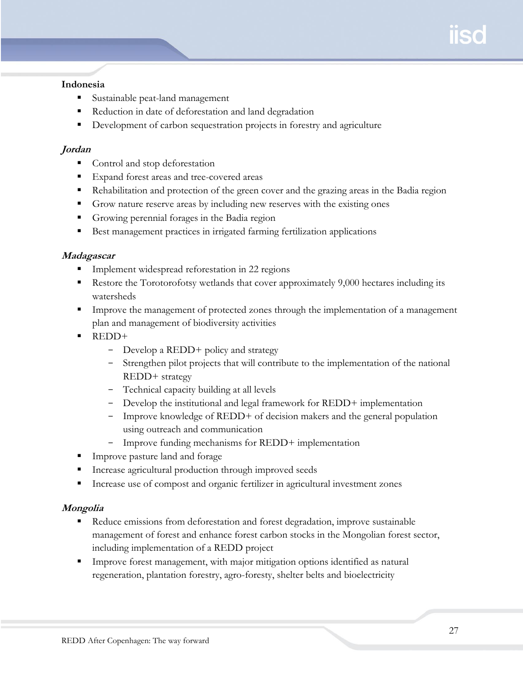# **Indonesia**

- Sustainable peat-land management
- Reduction in date of deforestation and land degradation
- Development of carbon sequestration projects in forestry and agriculture

# **Jordan**

- Control and stop deforestation
- Expand forest areas and tree-covered areas
- Rehabilitation and protection of the green cover and the grazing areas in the Badia region
- Grow nature reserve areas by including new reserves with the existing ones
- Growing perennial forages in the Badia region
- Best management practices in irrigated farming fertilization applications

## **Madagascar**

- Implement widespread reforestation in 22 regions
- Restore the Torotorofotsy wetlands that cover approximately 9,000 hectares including its watersheds
- **Improve the management of protected zones through the implementation of a management** plan and management of biodiversity activities
- REDD+
	- Develop a REDD+ policy and strategy
	- Strengthen pilot projects that will contribute to the implementation of the national REDD+ strategy
	- Technical capacity building at all levels
	- Develop the institutional and legal framework for REDD+ implementation
	- Improve knowledge of REDD+ of decision makers and the general population using outreach and communication
	- Improve funding mechanisms for REDD+ implementation
- **Improve pasture land and forage**
- Increase agricultural production through improved seeds
- Increase use of compost and organic fertilizer in agricultural investment zones

# **Mongolia**

- Reduce emissions from deforestation and forest degradation, improve sustainable management of forest and enhance forest carbon stocks in the Mongolian forest sector, including implementation of a REDD project
- Improve forest management, with major mitigation options identified as natural regeneration, plantation forestry, agro-foresty, shelter belts and bioelectricity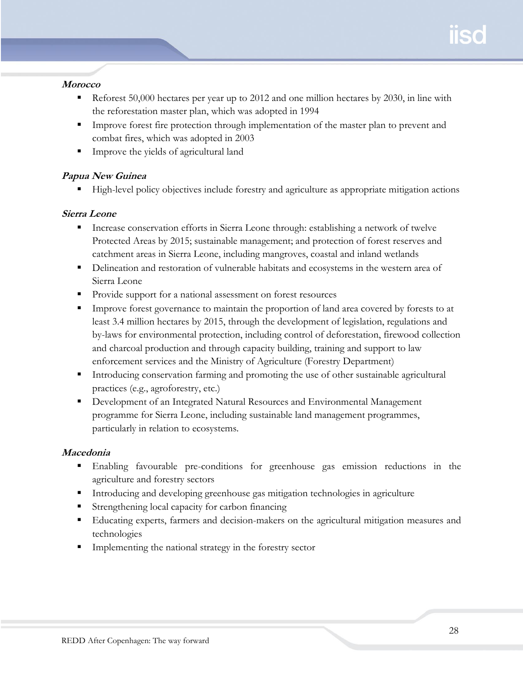# **Morocco**

- Reforest 50,000 hectares per year up to 2012 and one million hectares by 2030, in line with the reforestation master plan, which was adopted in 1994
- **IMPROVE FIRE 1** Improve forest fire protection through implementation of the master plan to prevent and combat fires, which was adopted in 2003
- **IMPROVE the yields of agricultural land**

# **Papua New Guinea**

High-level policy objectives include forestry and agriculture as appropriate mitigation actions

# **Sierra Leone**

- Increase conservation efforts in Sierra Leone through: establishing a network of twelve Protected Areas by 2015; sustainable management; and protection of forest reserves and catchment areas in Sierra Leone, including mangroves, coastal and inland wetlands
- Delineation and restoration of vulnerable habitats and ecosystems in the western area of Sierra Leone
- **Provide support for a national assessment on forest resources**
- **IMPROVE FORE SET 1** Improve forest governance to maintain the proportion of land area covered by forests to at least 3.4 million hectares by 2015, through the development of legislation, regulations and by-laws for environmental protection, including control of deforestation, firewood collection and charcoal production and through capacity building, training and support to law enforcement services and the Ministry of Agriculture (Forestry Department)
- Introducing conservation farming and promoting the use of other sustainable agricultural practices (e.g., agroforestry, etc.)
- Development of an Integrated Natural Resources and Environmental Management programme for Sierra Leone, including sustainable land management programmes, particularly in relation to ecosystems.

# **Macedonia**

- Enabling favourable pre-conditions for greenhouse gas emission reductions in the agriculture and forestry sectors
- Introducing and developing greenhouse gas mitigation technologies in agriculture
- Strengthening local capacity for carbon financing
- Educating experts, farmers and decision-makers on the agricultural mitigation measures and technologies
- **Implementing the national strategy in the forestry sector**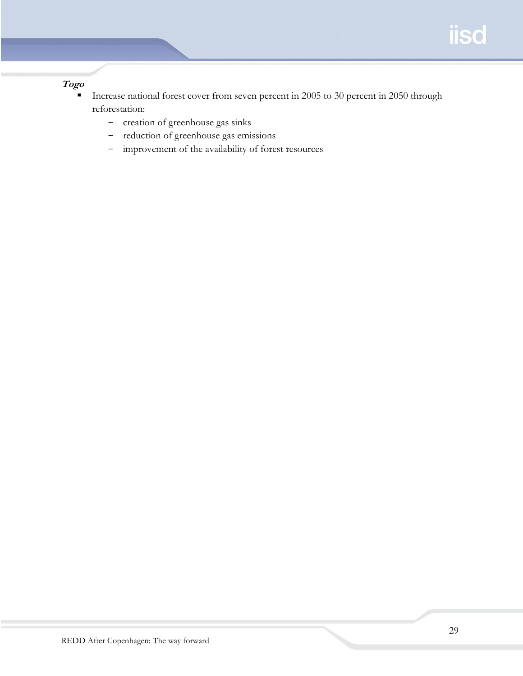## **Togo**

- Increase national forest cover from seven percent in 2005 to 30 percent in 2050 through reforestation:
	- creation of greenhouse gas sinks
	- reduction of greenhouse gas emissions
	- improvement of the availability of forest resources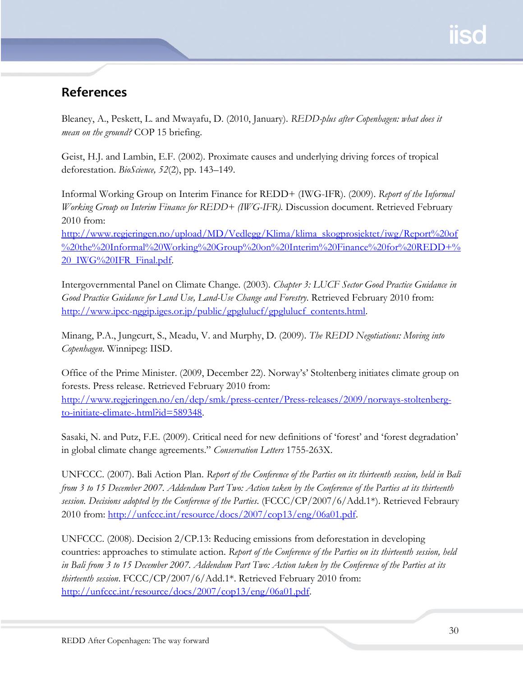# <span id="page-34-0"></span>**References**

Bleaney, A., Peskett, L. and Mwayafu, D. (2010, January). *REDD-plus after Copenhagen: what does it mean on the ground?* COP 15 briefing.

Geist, H.J. and Lambin, E.F. (2002). Proximate causes and underlying driving forces of tropical deforestation. *BioScience, 52*(2), pp. 143–149.

Informal Working Group on Interim Finance for REDD+ (IWG-IFR). (2009). *Report of the Informal Working Group on Interim Finance for REDD+ (IWG-IFR).* Discussion document. Retrieved February 2010 from:

[http://www.regjeringen.no/upload/MD/Vedlegg/Klima/klima\\_skogprosjektet/iwg/Report%20of](http://www.regjeringen.no/upload/MD/Vedlegg/Klima/klima_skogprosjektet/iwg/Report%20of%20the%20Informal%20Working%20Group%20on%20Interim%20Finance%20for%20REDD+%20_IWG%20IFR_Final.pdf) [%20the%20Informal%20Working%20Group%20on%20Interim%20Finance%20for%20REDD+%](http://www.regjeringen.no/upload/MD/Vedlegg/Klima/klima_skogprosjektet/iwg/Report%20of%20the%20Informal%20Working%20Group%20on%20Interim%20Finance%20for%20REDD+%20_IWG%20IFR_Final.pdf) [20\\_IWG%20IFR\\_Final.pdf.](http://www.regjeringen.no/upload/MD/Vedlegg/Klima/klima_skogprosjektet/iwg/Report%20of%20the%20Informal%20Working%20Group%20on%20Interim%20Finance%20for%20REDD+%20_IWG%20IFR_Final.pdf)

Intergovernmental Panel on Climate Change. (2003). *Chapter 3: LUCF Sector Good Practice Guidance in Good Practice Guidance for Land Use, Land-Use Change and Forestry*. Retrieved February 2010 from: [http://www.ipcc-nggip.iges.or.jp/public/gpglulucf/gpglulucf\\_contents.html.](http://www.ipcc-nggip.iges.or.jp/public/gpglulucf/gpglulucf_contents.html)

Minang, P.A., Jungcurt, S., Meadu, V. and Murphy, D. (2009). *The REDD Negotiations: Moving into Copenhagen*. Winnipeg: IISD.

Office of the Prime Minister. (2009, December 22). Norway's' Stoltenberg initiates climate group on forests. Press release. Retrieved February 2010 from:

[http://www.regjeringen.no/en/dep/smk/press-center/Press-releases/2009/norways-stoltenberg](http://www.regjeringen.no/en/dep/smk/press-center/Press-releases/2009/norways-stoltenberg-to-initiate-climate-.html?id=589348)[to-initiate-climate-.html?id=589348.](http://www.regjeringen.no/en/dep/smk/press-center/Press-releases/2009/norways-stoltenberg-to-initiate-climate-.html?id=589348)

Sasaki, N. and Putz, F.E. (2009). Critical need for new definitions of 'forest' and 'forest degradation' in global climate change agreements." *Conservation Letters* 1755-263X.

UNFCCC. (2007). Bali Action Plan. *Report of the Conference of the Parties on its thirteenth session, held in Bali from 3 to 15 December 2007. Addendum Part Two: Action taken by the Conference of the Parties at its thirteenth session. Decisions adopted by the Conference of the Parties*. (FCCC/CP/2007/6/Add.1\*). Retrieved Febraury 2010 from: [http://unfccc.int/resource/docs/2007/cop13/eng/06a01.pdf.](http://unfccc.int/resource/docs/2007/cop13/eng/06a01.pdf)

UNFCCC. (2008). Decision 2/CP.13: Reducing emissions from deforestation in developing countries: approaches to stimulate action. *Report of the Conference of the Parties on its thirteenth session, held in Bali from 3 to 15 December 2007. Addendum Part Two: Action taken by the Conference of the Parties at its thirteenth session*. FCCC/CP/2007/6/Add.1\*. Retrieved February 2010 from: [http://unfccc.int/resource/docs/2007/cop13/eng/06a01.pdf.](http://unfccc.int/resource/docs/2007/cop13/eng/06a01.pdf)